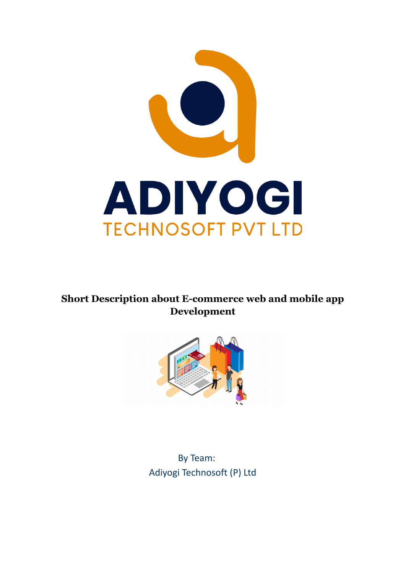

# **Short Description about E-commerce web and mobile app Development**



By Team: Adiyogi Technosoft (P) Ltd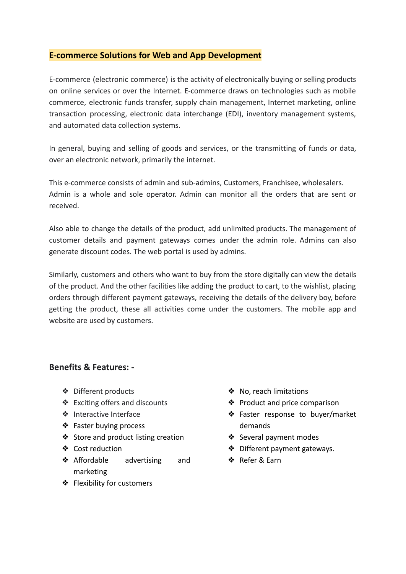# **E-commerce Solutions for Web and App Development**

E-commerce (electronic commerce) is the activity of electronically buying or selling products on online services or over the Internet. E-commerce draws on technologies such as mobile commerce, electronic funds transfer, supply chain management, Internet marketing, online transaction processing, electronic data interchange (EDI), inventory management systems, and automated data collection systems.

In general, buying and selling of goods and services, or the transmitting of funds or data, over an electronic network, primarily the internet.

This e-commerce consists of admin and sub-admins, Customers, Franchisee, wholesalers. Admin is a whole and sole operator. Admin can monitor all the orders that are sent or received.

Also able to change the details of the product, add unlimited products. The management of customer details and payment gateways comes under the admin role. Admins can also generate discount codes. The web portal is used by admins.

Similarly, customers and others who want to buy from the store digitally can view the details of the product. And the other facilities like adding the product to cart, to the wishlist, placing orders through different payment gateways, receiving the details of the delivery boy, before getting the product, these all activities come under the customers. The mobile app and website are used by customers.

## **Benefits & Features: -**

- ❖ Different products
- ❖ Exciting offers and discounts
- ❖ Interactive Interface
- ❖ Faster buying process
- ❖ Store and product listing creation
- ❖ Cost reduction
- ❖ Affordable advertising and marketing
- ❖ Flexibility for customers
- ❖ No, reach limitations
- ❖ Product and price comparison
- ❖ Faster response to buyer/market demands
- ❖ Several payment modes
- ❖ Different payment gateways.
- ❖ Refer & Earn